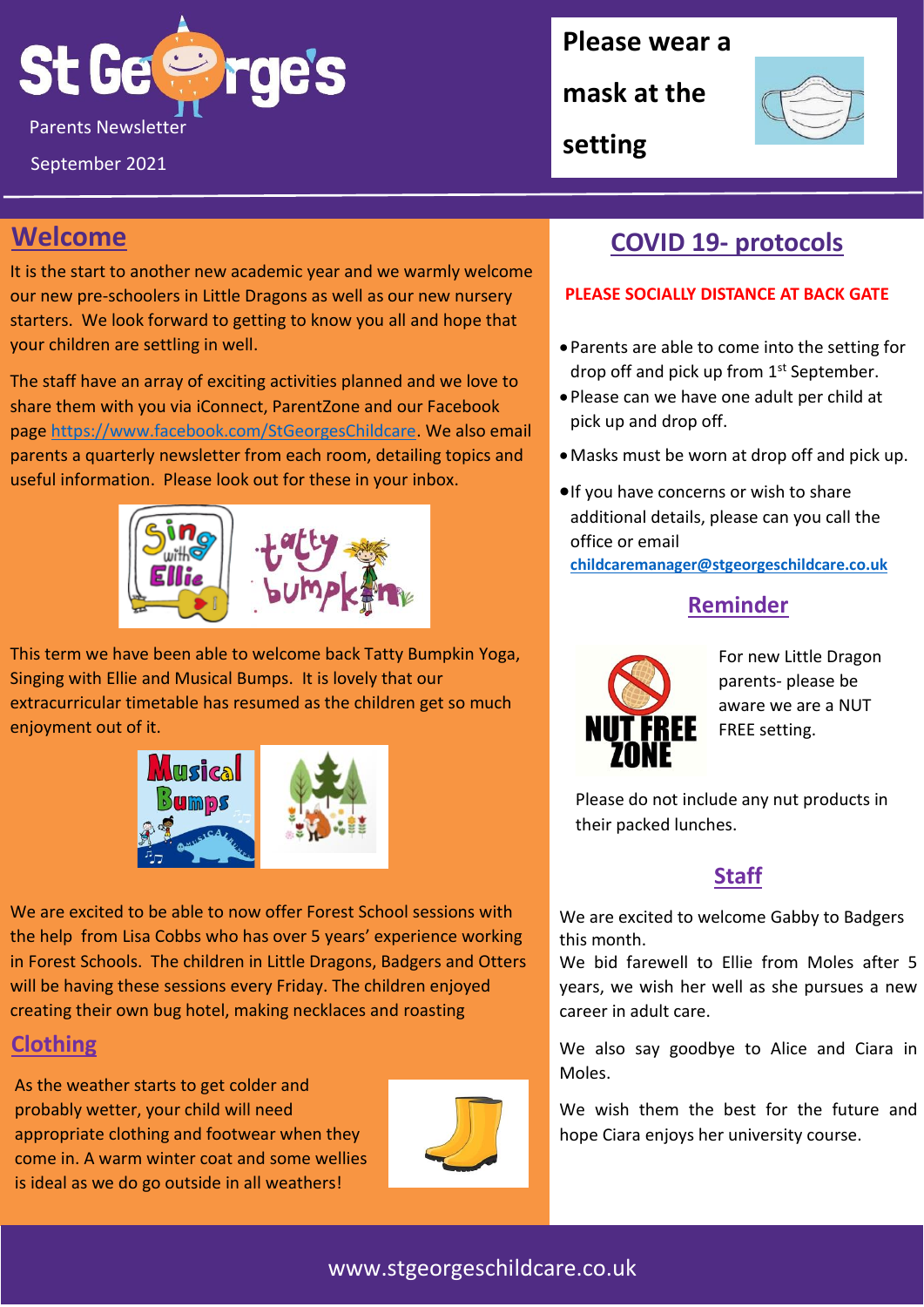

September 2021

#### **Please wear a**

**mask at the** 

**setting**



## **Welcome**

It is the start to another new academic year and we warmly welcome our new pre-schoolers in Little Dragons as well as our new nursery starters. We look forward to getting to know you all and hope that your children are settling in well.

The staff have an array of exciting activities planned and we love to share them with you via iConnect, ParentZone and our Facebook page [https://www.facebook.com/StGeorgesChildcare.](https://www.facebook.com/StGeorgesChildcare) We also email parents a quarterly newsletter from each room, detailing topics and useful information. Please look out for these in your inbox.



This term we have been able to welcome back Tatty Bumpkin Yoga, Singing with Ellie and Musical Bumps. It is lovely that our extracurricular timetable has resumed as the children get so much enjoyment out of it.



We are excited to be able to now offer Forest School sessions with the help from Lisa Cobbs who has over 5 years' experience working in Forest Schools. The children in Little Dragons, Badgers and Otters will be having these sessions every Friday. The children enjoyed creating their own bug hotel, making necklaces and roasting

# **Clothing**

As the weather starts to get colder and probably wetter, your child will need appropriate clothing and footwear when they come in. A warm winter coat and some wellies is ideal as we do go outside in all weathers!



## **COVID 19- protocols**

#### **PLEASE SOCIALLY DISTANCE AT BACK GATE**

- Parents are able to come into the setting for drop off and pick up from 1st September.
- Please can we have one adult per child at pick up and drop off.
- •Masks must be worn at drop off and pick up.
- •If you have concerns or wish to share additional details, please can you call the office or email

**[childcaremanager@stgeorgeschildcare.co.uk](mailto:childcaremanager@stgeorgeschildcare.co.uk)**

### **Reminder**



For new Little Dragon parents- please be aware we are a NUT FREE setting.

Please do not include any nut products in their packed lunches.

### **Staff**

We are excited to welcome Gabby to Badgers this month.

We bid farewell to Ellie from Moles after 5 years, we wish her well as she pursues a new career in adult care.

We also say goodbye to Alice and Ciara in Moles.

We wish them the best for the future and hope Ciara enjoys her university course.

### www.stgeorgeschildcare.co.uk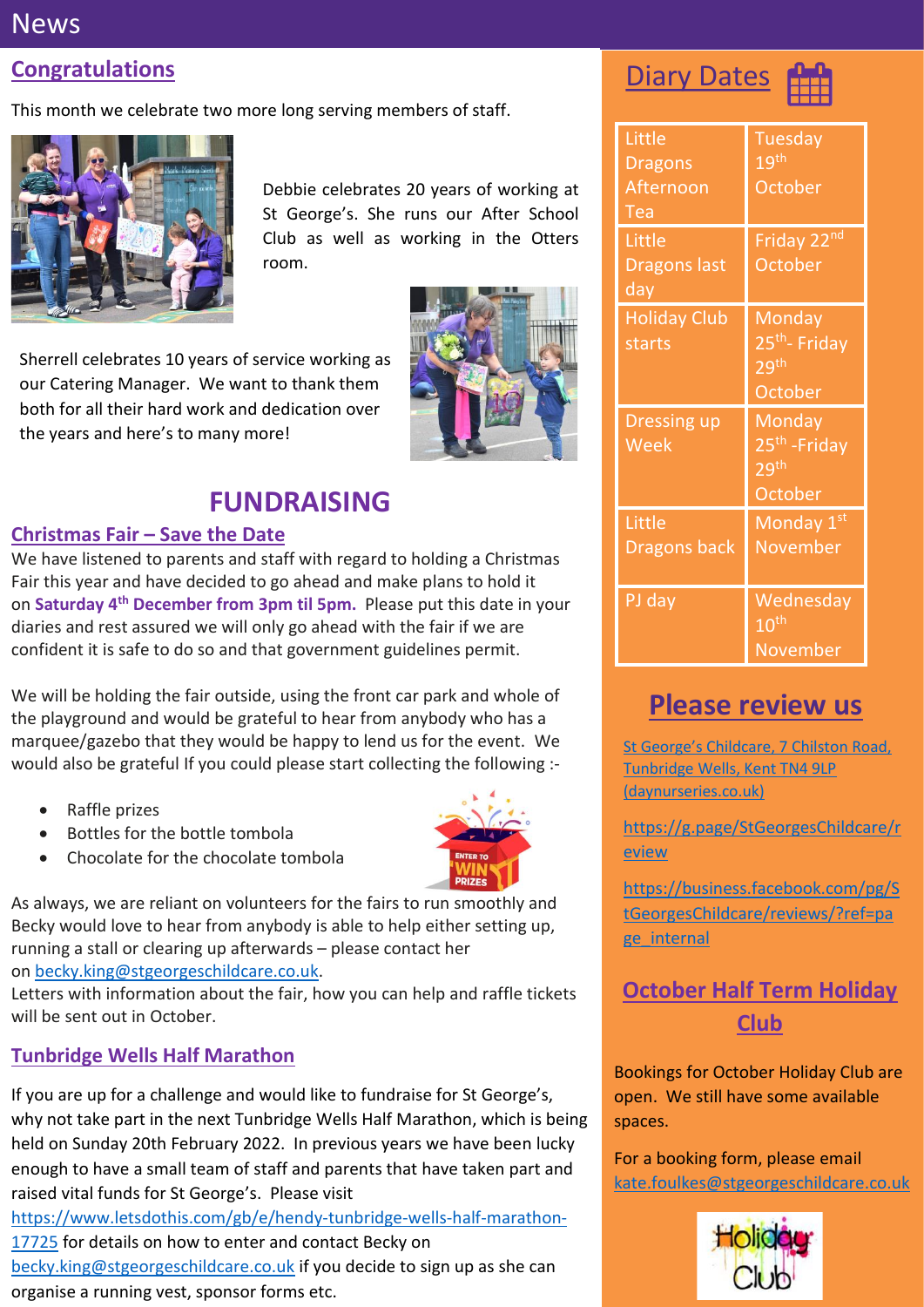## **News**

## **Congratulations**

This month we celebrate two more long serving members of staff.



Debbie celebrates 20 years of working at St George's. She runs our After School Club as well as working in the Otters room.

Sherrell celebrates 10 years of service working as our Catering Manager. We want to thank them both for all their hard work and dedication over the years and here's to many more!



# **FUNDRAISING**

#### **Christmas Fair – Save the Date**

We have listened to parents and staff with regard to holding a Christmas Fair this year and have decided to go ahead and make plans to hold it on **Saturday 4 th December from 3pm til 5pm.** Please put this date in your diaries and rest assured we will only go ahead with the fair if we are confident it is safe to do so and that government guidelines permit.

We will be holding the fair outside, using the front car park and whole of the playground and would be grateful to hear from anybody who has a marquee/gazebo that they would be happy to lend us for the event. We would also be grateful If you could please start collecting the following :-

- Raffle prizes
- Bottles for the bottle tombola
- Chocolate for the chocolate tombola



As always, we are reliant on volunteers for the fairs to run smoothly and Becky would love to hear from anybody is able to help either setting up, running a stall or clearing up afterwards – please contact her on [becky.king@stgeorgeschildcare.co.uk.](mailto:becky.king@stgeorgeschildcare.co.uk)

Letters with information about the fair, how you can help and raffle tickets will be sent out in October.

#### **Tunbridge Wells Half Marathon**

If you are up for a challenge and would like to fundraise for St George's, why not take part in the next Tunbridge Wells Half Marathon, which is being held on Sunday 20th February 2022. In previous years we have been lucky enough to have a small team of staff and parents that have taken part and raised vital funds for St George's. Please visit

[https://www.letsdothis.com/gb/e/hendy-tunbridge-wells-half-marathon-](https://www.letsdothis.com/gb/e/hendy-tunbridge-wells-half-marathon-17725)

[17725](https://www.letsdothis.com/gb/e/hendy-tunbridge-wells-half-marathon-17725) for details on how to enter and contact Becky on [becky.king@stgeorgeschildcare.co.uk](mailto:becky.king@stgeorgeschildcare.co.uk) if you decide to sign up as she can organise a running vest, sponsor forms etc.

# Diary Dates



| Little<br><b>Dragons</b><br><b>Afternoon</b><br>Tea | Tuesday<br>19 <sup>th</sup><br>October                             |
|-----------------------------------------------------|--------------------------------------------------------------------|
| Little<br><b>Dragons last</b><br>$d$ ay             | Friday 22nd<br>October                                             |
| <b>Holiday Club</b><br>starts                       | Monday<br>25 <sup>th</sup> - Friday<br>29 <sup>th</sup><br>October |
| <b>Dressing up</b><br>Week                          | Monday<br>25 <sup>th</sup> - Friday<br>29 <sup>th</sup><br>October |
| Little<br><b>Dragons back</b>                       | Monday 1st<br><b>November</b>                                      |
| PJ day                                              | Wednesday<br>$10^{\text{th}}$<br>November                          |

# **Please review us**

St [George's Childcare, 7 Chilston](https://www.daynurseries.co.uk/daynursery.cfm/searchazref/50001050GEOA/rcsid/1001#submit-review-tab) Road, [Tunbridge Wells, Kent TN4 9LP](https://www.daynurseries.co.uk/daynursery.cfm/searchazref/50001050GEOA/rcsid/1001#submit-review-tab)  [\(daynurseries.co.uk\)](https://www.daynurseries.co.uk/daynursery.cfm/searchazref/50001050GEOA/rcsid/1001#submit-review-tab)

[https://g.page/StGeorgesChildcare/r](https://g.page/StGeorgesChildcare/review) [eview](https://g.page/StGeorgesChildcare/review)

[https://business.facebook.com/pg/S](https://business.facebook.com/pg/StGeorgesChildcare/reviews/?ref=page_internal) [tGeorgesChildcare/reviews/?ref=pa](https://business.facebook.com/pg/StGeorgesChildcare/reviews/?ref=page_internal) [ge\\_internal](https://business.facebook.com/pg/StGeorgesChildcare/reviews/?ref=page_internal)

## **October Half Term Holiday Club**

Bookings for October Holiday Club are open. We still have some available spaces.

For a booking form, please email [kate.foulkes@stgeorgeschildcare.co.uk](mailto:kate.foulkes@stgeorgeschildcare.co.uk)

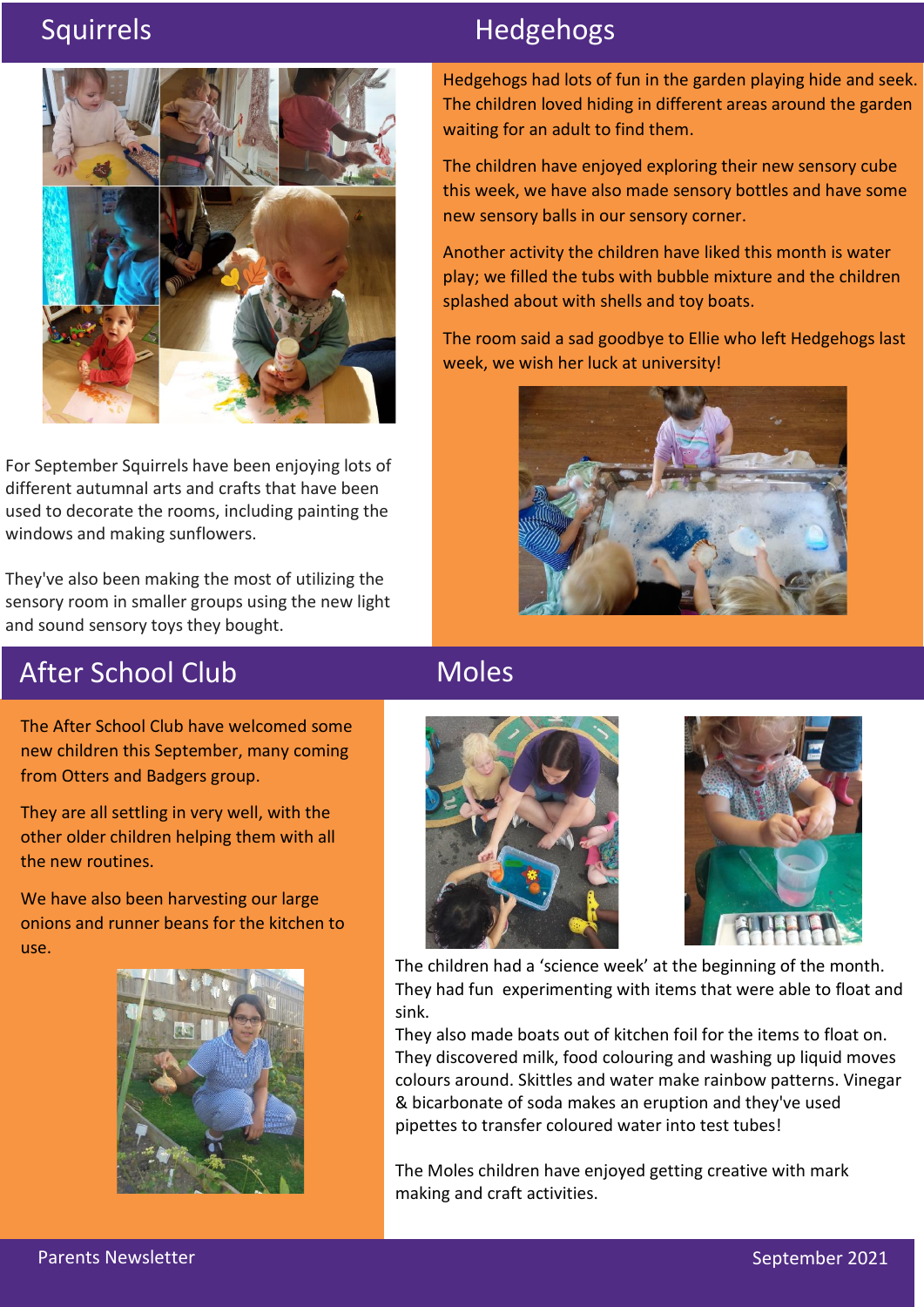

For September Squirrels have been enjoying lots of different autumnal arts and crafts that have been used to decorate the rooms, including painting the windows and making sunflowers.

They've also been making the most of utilizing the sensory room in smaller groups using the new light and sound sensory toys they bought.

# Squirrels **Hedgehogs**

Hedgehogs had lots of fun in the garden playing hide and seek. The children loved hiding in different areas around the garden waiting for an adult to find them.

The children have enjoyed exploring their new sensory cube this week, we have also made sensory bottles and have some new sensory balls in our sensory corner.

Another activity the children have liked this month is water play; we filled the tubs with bubble mixture and the children splashed about with shells and toy boats.

The room said a sad goodbye to Ellie who left Hedgehogs last week, we wish her luck at university!



# After School Club

The After School Club have welcomed some new children this September, many coming from Otters and Badgers group.

They are all settling in very well, with the other older children helping them with all the new routines.

We have also been harvesting our large onions and runner beans for the kitchen to use.



# **Moles**





The children had a 'science week' at the beginning of the month. They had fun experimenting with items that were able to float and sink.

They also made boats out of kitchen foil for the items to float on. They discovered milk, food colouring and washing up liquid moves colours around. Skittles and water make rainbow patterns. Vinegar & bicarbonate of soda makes an eruption and they've used pipettes to transfer coloured water into test tubes!

The Moles children have enjoyed getting creative with mark making and craft activities.